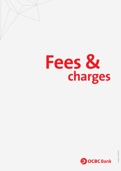

# **Fees & charges**

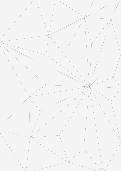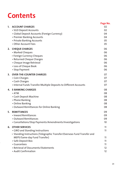# **Contents**

|    |                                                                          | Page No. |
|----|--------------------------------------------------------------------------|----------|
| 1. | <b>ACCOUNT CHARGES</b>                                                   | 02       |
|    | • SGD Deposit Accounts                                                   | 02       |
|    | • Global Deposit Accounts (Foreign Currency)                             | 04       |
|    | • Premier Banking Accounts                                               | 04       |
|    | • Private Banking Accounts                                               | 05       |
|    | • Other Account Fees                                                     | 05       |
| 2. | <b>CHEQUE CHARGES</b>                                                    | 06       |
|    | • Marked Cheques                                                         | 06       |
|    | • Foreign Currency Cheques                                               | 06       |
|    | • Returned Cheque Charges                                                | 06       |
|    | • Cheque Image Retrieval                                                 | 06       |
|    | • Loss of Cheque Book                                                    | 06       |
|    | • Stop Payment                                                           | 06       |
| 3. | <b>OVER-THE-COUNTER CHARGES</b>                                          | 07       |
|    | • Coin Charges                                                           | 07       |
|    | • Cash Charges                                                           | 07       |
|    | • Internal Funds Transfer/Multiple Deposits to Different Accounts        | 07       |
|    | 4. E-BANKING CHARGES                                                     | 08       |
|    | $\cdot$ ATM                                                              | 08       |
|    | • Cash Deposit Machine                                                   | 08       |
|    | • Phone Banking                                                          | 08       |
|    | • Online Banking                                                         | 08       |
|    | • Outward Remittances for Online Banking                                 | 08       |
| 5. | <b>REMITTANCES</b>                                                       | 09       |
|    | • Inward Remittances                                                     | 09       |
|    | • Outward Remittances                                                    | 09       |
|    | • Cancellations/Stop Payments/Amendments/Investigations                  | 10       |
|    | <b>6. OTHER SERVICES</b>                                                 | 11       |
|    | • GIRO and Standing Instructions                                         | 11       |
|    | • Standing Instructions (Telegraphic Transfer/Overseas Fund Transfer and |          |
|    | MEPS/Same-day Fund Transfer)                                             | 11       |
|    | • Safe Deposit Box                                                       | 11       |
|    | • Guarantees                                                             | 11       |
|    | • Retrieval of Documents/Statements                                      | 12       |
|    | • Audit Confirmation                                                     | 12       |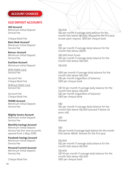#### **ACCOUNT CHARGES**

#### **SGD DEPOSIT ACCOUNTS**

#### **360 Account**

Minimum Initial Deposit S\$1,000

**Basic Bank Account<sup>1</sup>** Minimum Initial Deposit<br>Service Fee

Minimum Initial Deposit<br>Service Fee S\$2 per month if ave

Minimum Initial Deposit S\$1,000

With Debit Card:<br>Service Fee

Without Debit Card:<br>Service Fee

**FRANK Account** Minimum Initial Deposit<br>Service Fee S\$2

#### **Mighty Savers Account**

Minimum Initial Deposit S\$0 Service Fee Waived

#### **Monthly Savings Account**

Minimum Initial Deposit<br>Service Fee (For new accounts S\$2

**Passbook Savings Account** Minimum Initial Deposit<br>Service Fee S\$2 per

### **Personal Current Account**

Minimum Initial Deposit<br>Service Fee S\$7.50 r

Service Fee Service Fee States S\$2 per month if average daily balance for the month falls below S\$3,000. Waived for the first year<br>Issued upon request. S\$10 per cheque book Issued upon request, S\$10 per cheque book

S\$2 per month if average daily balance for the month falls below S\$500 **Bonus+ Account**

S\$2 per month if average daily balance for the month falls below S\$3,000 **EasiSave Account**

S\$10 per month if average daily balance for the month falls below S\$3,000 Account Fee States of balance)<br>
S\$2 per month (regardless of balance)<br>
S\$10 per cheque book S\$10 per cheque book

S\$7.50 per month if average daily balance for the month falls below S\$3,000 Account Fee States of balance)<br>
S\$2 per month (regardless of balance)<br>
S\$10 per cheque book S\$10 per cheque book

S\$2 per month if average daily balance for the month falls below S\$1,000 (waived if below 26 years old)

Service Fee (For new accounts S\$2 per month if average daily balance for the month<br>opened from 2 May 2018) falls below S\$500. Waived for the first year falls below S\$500. Waived for the first year

# $S$ \$2 per month if average daily balance for the month falls below  $S$ \$1.000

S\$7.50 per month if average daily balance for the month falls below S\$3,000 S\$10 per cheque book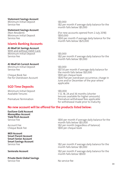#### **Statement Savings Account** Minimum Initial Deposit<br>Service Fee S\$2 per

# **Statement Savings Account**

Minimum Initial Deposit<br>Service Fee

#### **Islamic Banking Accounts**

**Al-Wadi'ah Savings Account** With and without Debit Card: Minimum Initial Deposit<br>Service Fee S\$2 per

#### **Al-Wadi'ah Current Account**

Minimum Initial Deposit<br>Service Fee S\$7.50 r

Cheque Book Fee States S\$10 per cheque book<br>Fee for Overdrawn Account S\$30 flat per overdraw

### **SGD Time Deposits**

Minimum Initial Deposit S\$5,000

S\$2 per month if average daily balance for the month falls below S\$1,000

(For new accounts opened from 2 July 2018)<br>S\$50.000 S\$50 per month if average daily balance for the month falls below S\$25,000

S\$2 per month if average daily balance for the month falls below S\$1,000

S\$7.50 per month if average daily balance for the month falls below S\$3,000<br>S\$10 per cheque book<br>S\$10 per cheque book S\$30 flat per overdrawn occurrence, charge in June and/or December of the year where applicable

1-12, 18, 24 and 36 months (shorter tenures available for higher amounts) Premature withdrawal fees applicable for withdrawal made prior to maturity

#### **No new account will be offered for the products listed below:**

**EasiSave Gold Account MoneyMax Account Yield PLUS Account**

**MOI Account Smart Parent Account Smart Senior Account Smart Savings Account**<br>Service Fee

**Private Bank Global Savings**

S\$10 per month if average daily balance for the month falls below S\$3,000<br>S\$2 per month (regardless) S\$2 per month (regardless) Account Fee States of the State States of balance)<br>Cheque Book Fee States of States States States States of States of balance) S\$10 per cheque book

> S\$2 per month if average daily balance for the month falls below S\$1,000

**Seniorate Account** S\$2 per month if average daily balance for the month falls below S\$500

No service fee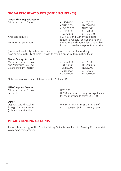### **GLOBAL DEPOSIT ACCOUNTS (FOREIGN CURRENCY)**

#### **Global Time Deposit Account**

Minimum Initial Deposit • USD5,000 • AUD5,000

(Important: Maturity instructions have to be given to the Bank 2 working days prior to maturity of Time Deposit to avoid premature termination fees.)

#### **Global Savings Account**

Minimum Initial Deposit • USD5,000 • AUD5,000 and Minimum Day End • EUR5,000 • HKD50,000 Balance to Earn Interest • CNH5,000 • NZD5,000<br>GBP5.000 • CHF5.000 • CHF5.000

- GBP5,000 CHF5,000<br>• CAD5.000 JPY500.000  $\cdot$  CAD5.000
- -
	-
	-
	-

Note: No new accounts will be offered for CHF and JPY.

#### **USD Chequing Account**

Minimum Initial Deposit US\$1,000

Service Fee **Example 20** US\$10 per month if daily average balance for the month falls below US\$1,000

#### **Others**

Foreign Currency Notes (subject to availability)

Deposit/Withdrawal in Minimum 1% commission-in-lieu of exchange<sup>2</sup> (subject to currency type)

### **PREMIER BANKING ACCOUNTS**

Please obtain a copy of the Premier Pricing Guide from a Premier Banking Centre or visit www.ocbc.com/premier

| $\cdot$ USD5,000 |
|------------------|
| F110F000         |

- 
- EUR5,000 HKD50,000
- JPY500,000 NZD5,000
	-
- GBP5,000 CHF5,000
	-

• CAD5,000 • CNH250,000<br>Available Tenures 1 2 3 6 9 and 12 months (shorte) 1, 2, 3, 6, 9 and 12 months (shorter tenures available for higher amounts)<br>Premature Termination extension and the system of the Premature withdrawal fees applicable Premature withdrawal fees applicable for withdrawal made prior to maturity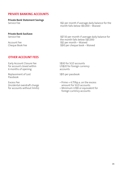#### **PRIVATE BANKING ACCOUNTS**

**Private Bank Statement Savings** 

S\$2 per month if average daily balance for the  $m$ onth falls below S\$1,000 – Waived

**Private Bank EasiSave**

S\$7.50 per month if average daily balance for the month falls below S\$3,000<br>S\$2 per month – Waived Account Fee S\$2 per month – Waived<br>
Cheque Book Fee S\$10 per cheque book – V S\$10 per cheque book – Waived

#### **OTHER ACCOUNT FEES**

Early Account Closure Fee S\$30 for SGD accounts<br>
for account closed within SS\$20 for foreign curre 6 months of opening

Replacement of Lost S\$15 per passbook Passbook

(Incidental overdraft charge<br>for accounts without limits)

US\$20 for foreign currency<br>accounts

- Excess Fee Prime + 4.75%p.a. on the excess (Incidental overdraft charge  $\blacksquare$ 
	- Minimum US\$5 or equivalent for foreign currency accounts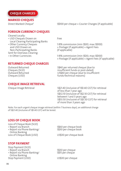

#### **MARKED CHEQUES**

Direct Marked Cheque<sup>3</sup>

S\$100 per cheque + Courier Charges (if applicable)

### **FOREIGN CURRENCY CHEQUES**

Cleared Locally:

- USD Cheques Drawn on Free Local Clearing Participating Banks
- Non-Participating Banks
- Sent for Overseas Clearing:<br>• In Other Currencies
- 

• Other Currency Cheques 1/8% commission (min S\$30, max S\$100)<br>and USD Drawn on the state of the Postage (if applicable) + Agent Fees + Postage (if applicable) + Agent Fees<br>(if applicable)

> $1/8\%$  commission (min S\$30, max S\$100) + Postage (if applicable) + Agent Fees (if applicable)

#### **RETURNED CHEQUE CHARGES**

Outward Returned<br>
Cheques (SGD)<br>
S\$40 per returned cheque (due to cheque (due to cheques (SGD) Cheques (SGD) insufficient funds or post-dated)<br>Outward Returned in the US\$40 per cheque (due to insufficient Outward Returned The US\$40 per cheque (due to insufficient<br>
Cheques (USD) Cheques (USD) contract to insufficient<br>
Cheques (USD) contract to insufficient to insufficient to insufficient to insufficient to insufficient to in

#### **CHEQUE IMAGE RETRIEVAL**

funds/technical reasons) Cheque Image Retrieval S\$21.40 (inclusive of S\$1.40 GST) for retrieval

 of less than 1 year ago S\$32.10 (inclusive of S\$2.10 GST) for retrieval between 1 and 3 years ago S\$53.50 (inclusive of S\$3.50 GST) for retrieval of more than 3 years ago

Note: For each urgent cheque image retrieval (within 7 business days), an additional charge of S\$21.40 (inclusive of S\$1.40 GST) will be levied.

### **LOSS OF CHEQUE BOOK**

Loss of Cheque Book (SGD)<br>• Report via Branch

- 
- Report via Phone Banking/ Online Banking

\$\$60 per cheque book<br>\$\$30 per cheque book

Loss of Cheque Book (USD) US\$30 per cheque book

#### **STOP PAYMENT**

Stop Payment (SGD)

- 
- Report via Phone Banking/ Online Banking Stop Payment (USD) US\$30 per cheque

• Report via Branch S\$30 per cheque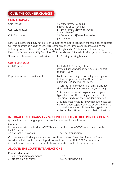### **OVER-THE-COUNTER CHARGES**

#### **COIN CHARGES**

Coin Deposit S\$1.50 for every 100 coins deposited or part thereof<br>Coin Withdrawal G\$1.50 for every S\$50 with S\$1.50 for every S\$50 withdrawn or part thereof Coin Exchange S\$1.50 for every S\$50 exchanged or part thereof

Note: Coins deposited may not be credited into the relevant account on the same day of deposit. Our coin deposit and exchange services are available every Tuesday and Thursday during the following hours: 3.00pm to 5.00pm (Sunday Banking branches\*, City Square, Holland Village, Paya Lebar Square, Suntec City, Sun Plaza, White Sands) and 9.30am to 11.30am (all other branches).

\*Please refer to www.ocbc.com to view the list of Sunday Banking branches.

# **CASH CHARGES**

Deposit of unsorted/folded notes

First S\$20,000 per day – free; every subsequent deposit of S\$10,000 or part thereof – S\$10

For faster processing of notes deposited, please follow the guidelines below. Otherwise, an additional S\$50 fee will be levied.

1. Sort the notes by denomination and arrange them with the front side facing up, unfolded;

2. Separate the notes into paper and polymer types, then pack them using rubber bands in 100-piece bundles of the same denomination;

3. Bundle loose notes (ie fewer than 100 pieces per denomination) together, sorted by denomination, and stack them upwards from the largest-sized notes (at the bottom) to the smallest (at the top).

#### **INTERNAL FUNDS TRANSFER / MULTIPLE DEPOSITS TO DIFFERENT ACCOUNTS**

(per customer basis, aggregated across all accounts of the customer)

#### **Per visit**

For funds transfer made at any OCBC branch counter to any OCBC Singapore accounts: First 3 transactions<br>4<sup>th</sup> transaction onwards **Free** S\$5 t 5\$5 per transaction

Charges are applicable per submission over the counters. Examples of internal funds transfer include single cheque deposit for crediting to multiple OCBC accounts, or instructions at our branch counter to transfer funds to multiple OCBC accounts.

#### **ALL OVER-THE-COUNTER TRANSACTIONS**

#### **Per calendar month**

 $1 - 20$ <sup>th</sup> transaction per month: Free 21<sup>st</sup> transaction onwards: S\$3 per transaction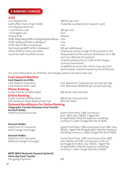#### **E-BANKING CHARGES**

#### **ATM**

Coin Deposit Fee S\$0.012 per coin<sup>4</sup> (with effect from 27 April 2018) (Total fee rounded to the nearest 1 cent) Card Replacement Fee • Lost/Stolen Card S\$5 per card • Damaged Card Free Shared ATM Waived OCBC Wing Hang ATMs in Hong Kong and Macau Free OCBC Malaysia ATMs in Malaysia Free OCBC NISP ATMs in Indonesia Free Participating MEPS ATM in Malaysia<sup>5</sup><br>Other ATMs in China and other S\$5 per withdrawal Other ATMs in China and other 1) Nominal service charge of 3% is levied on the<br>1) Nominal service 5\$ equivalent of the amount withdrawn (min S S\$ equivalent of the amount withdrawn (min S\$5 and max S\$20 per transaction) 2) Administrative fee of 2.25% of the foreign currency transaction<sup>6</sup> 3) Additional service fee, which may vary from

bank to bank, may be imposed by the ATM bank

For more information on ATM fees and charges, please visit www.ocbc.com

#### **Cash Deposit Machine**

# **Cash Deposit via ATMs**

**Phone Banking** Funds Transfer to Other Bank S\$0.50 per returned item

Cash Deposit (Card-less) Free. Maximum 5 deposits per account per day<br>Cash Deposit (with Card) Free. Maximum \$100,000 per account per day Free. Maximum \$100,000 per account per day

**Online Banking** Funds Transfer to Other Bank<br>2FA Hardware Token Replacement Fee S\$20 per token 2FA Hardware Token Replacement Fee

#### **Outward Remittances for Online Banking**

**Telegraphic Transfer/Overseas Fund Transfer Account Holder:**

#### **Account Holder:**

Debit from FCY Accounts (with Foreign Exchange)

#### **Account Holder:**

Debit from FCY Accounts (without Foreign Exchange)

#### **MEPS (MAS Electronic Payment System)/**

**Same-day Fund Transfer**

Out-going Payments S\$5

08

Same/Third Party: 1/8% commision (min. S\$10, max. S\$100) + Agent fee (if applicable): fixed fee based on remitting currency<sup>6</sup> + Cable Charge (flat fee of S\$20)

Same/Third Party: 1/8% commission (min S\$10, max S\$120) + Agent fee (if applicable): fixed fee based on remitting currency + Cable Charge (flat fee of S\$20)

Same/Third Party: 1/8% commission (min S\$10, max S\$120) and 1/8% commission-in-lieu of exchange (min S\$25, max S\$120) + Agent fee (if applicable): fixed fee based on remitting currency + Cable Charge (flat fee of S\$20)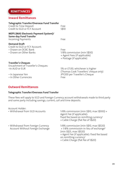### **REMITTANCES**

#### **Inward Remittances**

| Free<br>S\$10                                                                                                      |
|--------------------------------------------------------------------------------------------------------------------|
| Free                                                                                                               |
| Free<br>1/8% commission (min S\$30)<br>+ Agent Fees (if applicable)<br>+ Postage (if applicable)                   |
| 5% or £7.00, whichever is higher<br>(Thomas Cook Travellers' cheque only)<br>JPY200 per Traveller's Cheque<br>Free |
|                                                                                                                    |

#### **Outward Remittances**

#### **Telegraphic Transfer/Overseas Fund Transfer**

These fees will apply to SGD and Foreign Currency account withdrawals made to third party and same party including savings, current, call and time deposits.

| Account Holder:<br>• Withdrawal from SGD Accounts                      | 1/8% commission (min S\$10, max S\$100) +<br>Agent Fee (if applicable):<br>fixed fee based on remitting currency <sup>7</sup><br>+ Cable Charge (flat fee of S\$20)                                                                                 |
|------------------------------------------------------------------------|-----------------------------------------------------------------------------------------------------------------------------------------------------------------------------------------------------------------------------------------------------|
| • Withdrawal from Foreign Currency<br>Account Without Foreign Exchange | 1/8% commission (min S\$10, max S\$120)<br>+1/8% commission-in-lieu of exchange <sup>2</sup><br>(min S\$25, max S\$120)<br>+ Agent Fee (if applicable): fixed fee based<br>on remitting currency <sup>7</sup><br>+ Cable Charge (flat fee of S\$20) |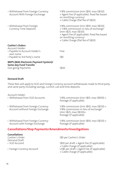| • Withdrawal from Foreign Currency<br>Account With Foreign Exchange           | $1/8\%$ commission (min S\$10, max S\$120)<br>+ Agent Fee (if applicable): fixed fee based<br>on remitting currency <sup>7</sup><br>+ Cable Charge (flat fee of S\$20)                                                                                 |
|-------------------------------------------------------------------------------|--------------------------------------------------------------------------------------------------------------------------------------------------------------------------------------------------------------------------------------------------------|
| • Withdrawal from Foreign<br><b>Currency Time Deposits</b>                    | $1/8\%$ commission (min S\$10, max S\$120)<br>+1/8% commission-in-lieu of exchange <sup>2</sup><br>(min S\$25, max S\$120)<br>+ Agent Fee (if applicable): fixed fee based<br>on remitting currency <sup>7</sup><br>+ Cable Charge (flat fee of S\$20) |
| <b>Cashier's Orders</b><br>Account Holder:                                    |                                                                                                                                                                                                                                                        |
| • Payable to Account Holder's<br>own name                                     | Free                                                                                                                                                                                                                                                   |
| • Payable to 3rd Party's name                                                 | S\$5                                                                                                                                                                                                                                                   |
| <b>MEPS (MAS Electronic Payment System)/</b><br><b>Same-day Fund Transfer</b> |                                                                                                                                                                                                                                                        |
| Out-going Payments                                                            | S\$20                                                                                                                                                                                                                                                  |

#### **Demand Draft**

These fees will apply to SGD and Foreign Currency account withdrawals made to third party and same party including savings, current, call and time deposits.

| Account Holder:                                                        | $1/8\%$ commission (min S\$15, max S\$100) +                                                                                                             |
|------------------------------------------------------------------------|----------------------------------------------------------------------------------------------------------------------------------------------------------|
| • Withdrawal from SGD Accounts                                         | Postage (if applicable)                                                                                                                                  |
| • Withdrawal from Foreign Currency<br>Account without Foreign Exchange | 1/8% commission (min $S$10$ , max $S$120$ ) +<br>1/8% commission-in-lieu of exchange <sup>2</sup><br>$(min S$25, max S$120)+$<br>Postage (if applicable) |
| • Withdrawal from Foreign Currency                                     | $1/8\%$ commission (min S\$10, max S\$120) +                                                                                                             |
| Account with Foreign Exchange                                          | Postage (if applicable)                                                                                                                                  |

### **Cancellations/Stop Payments/Amendments/Investigations**

| <b>Cancellations</b>       |                                                                               |
|----------------------------|-------------------------------------------------------------------------------|
| Cashier's Order            | S\$5 per Cashier's Order                                                      |
| Demand Draft               |                                                                               |
| • SGD Account              | $$10$ per draft + Agent Fee (if applicable)<br>+ Cable Charge (if applicable) |
| • Foreign Currency Account | US\$5 per draft + Agent Fee (if applicable)<br>+ Cable Charge (if applicable) |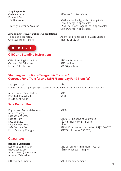## **Stop Payments**

Demand Draft

S\$20 per Cashier's Order

• SGD Account S\$20 per draft + Agent Fee (if applicable) + Cable Charge (if applicable)<br>Cable Charge (if applicable) versus per draft + Agent Fee US\$10 per draft + Agent Fee (if applicable) + Cable Charge (if applicable)

**Amendments/Investigations/Cancellations** Overseas Fund Transfer

Agent Fee (if applicable) + Cable Charge<br>(flat fee of S\$20)

#### **OTHER SERVICES**

#### **GIRO and Standing Instructions**

| GIRO Standing Instruction |
|---------------------------|
| Outward GIRO Return       |
| Inward GIRO Return        |

S\$10 per transaction S\$10 per item S\$0.50 per item

#### **Standing Instructions (Telegraphic Transfer/ Overseas Fund Transfer and MEPS/Same-day Fund Transfer)**

Set-up Charge S\$10 Note: Standard charges apply per section "Outward Remittances" in this Pricing Guide – Personal

| Amendment/Cancellation | S\$10 |
|------------------------|-------|
| Rejected items due to  | S\$30 |
| insufficient funds     |       |

#### **Safe Deposit Box8**

| Key Deposit (Refundable upon<br>return of keys)<br>Lost Key Charges: | S\$150                                          |
|----------------------------------------------------------------------|-------------------------------------------------|
| Loss of 1 key                                                        | S\$160.50 (inclusive of S\$10.50 GST)           |
| Loss of 2 keys                                                       | S\$214 (inclusive of S\$14 GST)                 |
| Late Payment Fees                                                    | S\$20                                           |
| Safe Custody Fee                                                     | S\$160.50 per annum (inclusive of S\$10.50 GST) |
| Force Opening Charges                                                | S\$107 (inclusive of S\$7 GST)                  |

#### **Guarantees**

| <b>Banker's Guarantee</b>  |                                   |
|----------------------------|-----------------------------------|
| <b>Issuance Commission</b> | 1.5% per annum (minimum 1 year or |
| (New/Renewal)              | S\$150, whichever is higher)      |
| Amendment (Increase in     |                                   |
| Amount/Extension)          |                                   |

Other Amendments S\$100 per amendment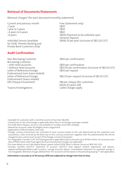#### **Retrieval of Documents/Statements**

Retrieval Charges<sup>9</sup> (for each document/monthly statement)

Current and previous month Free (statement only)<br>  $\langle$ 1 vear
S\$20  $<$ 1 year  $\frac{1}{2}$  year to 3 years S\$30<br>S\$30 areas to 6 years S\$50  $>3$  years to 6 years

for OCBC Premier Banking and Private Bank Customers only)

>6 years S\$100 (Payment to be collected upon retrieval request) S\$385.20 per year (inclusive of S\$25.20 GST)

### **Audit Confirmation**

Non-Borrowing Customer S\$30 per confirmation Borrowing Customer<br>• with retail accounts • with retail accounts S\$50 per confirmation<br>• without retail accounts S\$53.50 per confirmation Letter of Reference/Foreign S\$30 per request Endorsement (non-loans related) Endorsement (loans related)

Tracers/Investigations Cable Charges apply

S\$53.50 per confirmation (inclusive of S\$3.50 GST)

S\$32.10 per request (inclusive of S\$2.10 GST)

S\$4 per cheque (for customers below 62 years old)

1 Available for customers with a monthly income of less than S\$2,000.

- <sup>2</sup> Commission-in-lieu of exchange is applicable when there is no foreign exchange involved.
- <sup>3</sup> For OCBC Bank Cheques, service is not available on Sundays and Public Holidays.
- 4 Waived for accounts under the Mighty Savers programme.
- 5 Applicable to ATM and Debit Cards only.

6 Foreign currency transactions are converted to local currency based on the rate determined by the respective card associations. Costs incurred by the Bank due to this currency conversion, together with the administrative fee will be charged to your card account as part of the foreign currency transaction.

7 For Telegraphic Transfer in JPY, the fixed agent fee is applicable only for amounts up to JPY100 million. For amounts more than JPY100 million, both fixed agent fee and 3rd party bank charges are applicable.

8 For more details on our Safe Deposit Boxes, please contact OCBC Bank Customer Service at 1800 363 3333.

9 Includes monthly SGD/FCY statement of account, SGD/FCY time deposit interest statements and advices, deposit/withdrawal/debit/credit vouchers, savings accounts details. Consolidated statement for passbook savings is not chargeable. (Retrieval charges debited from FCY accounts will be based on the prevailing buying TT rate applicable.)

#### **Information is accurate as of 30 January 2019 and subjected to change from time to time.**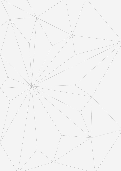